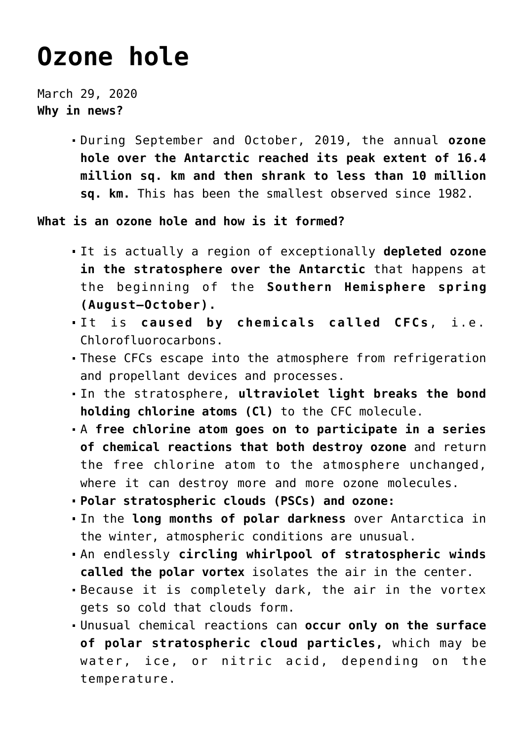## **[Ozone hole](https://journalsofindia.com/ozone-hole/)**

March 29, 2020 **Why in news?**

> During September and October, 2019, the annual **ozone hole over the Antarctic reached its peak extent of 16.4 million sq. km and then shrank to less than 10 million sq. km.** This has been the smallest observed since 1982.

**What is an ozone hole and how is it formed?**

- It is actually a region of exceptionally **depleted ozone in the stratosphere over the Antarctic** that happens at the beginning of the **Southern Hemisphere spring (August–October).**
- It is **caused by chemicals called CFCs**, i.e. Chlorofluorocarbons.
- These CFCs escape into the atmosphere from refrigeration and propellant devices and processes.
- In the stratosphere, **ultraviolet light breaks the bond holding chlorine atoms (Cl)** to the CFC molecule.
- A **free chlorine atom goes on to participate in a series of chemical reactions that both destroy ozone** and return the free chlorine atom to the atmosphere unchanged, where it can destroy more and more ozone molecules.
- **Polar stratospheric clouds (PSCs) and ozone:**
- In the **long months of polar darkness** over Antarctica in the winter, atmospheric conditions are unusual.
- An endlessly **circling whirlpool of stratospheric winds called the polar vortex** isolates the air in the center.
- Because it is completely dark, the air in the vortex gets so cold that clouds form.
- Unusual chemical reactions can **occur only on the surface of polar stratospheric cloud particles,** which may be water, ice, or nitric acid, depending on the temperature.